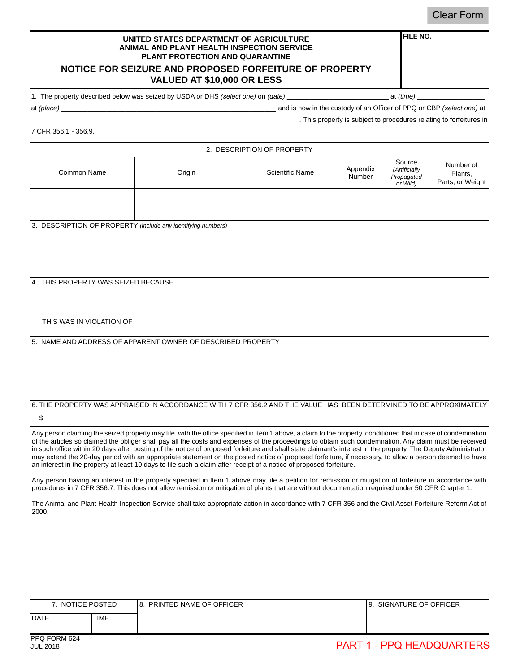### **FILE NO.**

#### **UNITED STATES DEPARTMENT OF AGRICULTURE ANIMAL AND PLANT HEALTH INSPECTION SERVICE PLANT PROTECTION AND QUARANTINE**

## **NOTICE FOR SEIZURE AND PROPOSED FORFEITURE OF PROPERTY VALUED AT \$10,000 OR LESS**

1. The property described below was seized by USDA or DHS *(select one)* on *(date)* \_\_\_\_\_\_\_\_\_\_\_\_\_\_\_\_\_\_\_\_\_\_\_\_\_\_\_ at *(time)* \_\_\_\_\_\_\_\_\_\_\_\_\_\_\_\_\_\_

at *(place)* \_\_\_\_\_\_\_\_\_\_\_\_\_\_\_\_\_\_\_\_\_\_\_\_\_\_\_\_\_\_\_\_\_\_\_\_\_\_\_\_\_\_\_\_\_\_\_\_\_\_\_\_\_\_\_\_\_ and is now in the custody of an Officer of PPQ or CBP *(select one)* at \_\_\_\_\_\_\_\_\_\_\_\_\_\_\_\_\_\_\_\_\_\_\_\_\_\_\_\_\_\_\_\_\_\_\_\_\_\_\_\_\_\_\_\_\_\_\_\_\_\_\_\_\_\_\_\_\_\_\_\_\_\_\_\_\_\_\_\_\_\_\_. This property is subject to procedures relating to forfeitures in

7 CFR 356.1 - 356.9.

2. DESCRIPTION OF PROPERTY Common Name **Common Name Common Name Common Name** Appendix Number Source *(Artificially Propagated or Wild)* Number of Plants, Parts, or Weight

3. DESCRIPTION OF PROPERTY *(include any identifying numbers)*

### 4. THIS PROPERTY WAS SEIZED BECAUSE

THIS WAS IN VIOLATION OF

5. NAME AND ADDRESS OF APPARENT OWNER OF DESCRIBED PROPERTY

## 6. THE PROPERTY WAS APPRAISED IN ACCORDANCE WITH 7 CFR 356.2 AND THE VALUE HAS BEEN DETERMINED TO BE APPROXIMATELY

\$

Any person claiming the seized property may file, with the office specified in Item 1 above, a claim to the property, conditioned that in case of condemnation of the articles so claimed the obliger shall pay all the costs and expenses of the proceedings to obtain such condemnation. Any claim must be received in such office within 20 days after posting of the notice of proposed forfeiture and shall state claimant's interest in the property. The Deputy Administrator may extend the 20-day period with an appropriate statement on the posted notice of proposed forfeiture, if necessary, to allow a person deemed to have an interest in the property at least 10 days to file such a claim after receipt of a notice of proposed forfeiture.

Any person having an interest in the property specified in Item 1 above may file a petition for remission or mitigation of forfeiture in accordance with procedures in 7 CFR 356.7. This does not allow remission or mitigation of plants that are without documentation required under 50 CFR Chapter 1.

| NOTICE POSTED |             | PRINTED NAME OF OFFICER<br>18. | SIGNATURE OF OFFICER<br><b>19.</b> |
|---------------|-------------|--------------------------------|------------------------------------|
| <b>DATE</b>   | <b>TIME</b> |                                |                                    |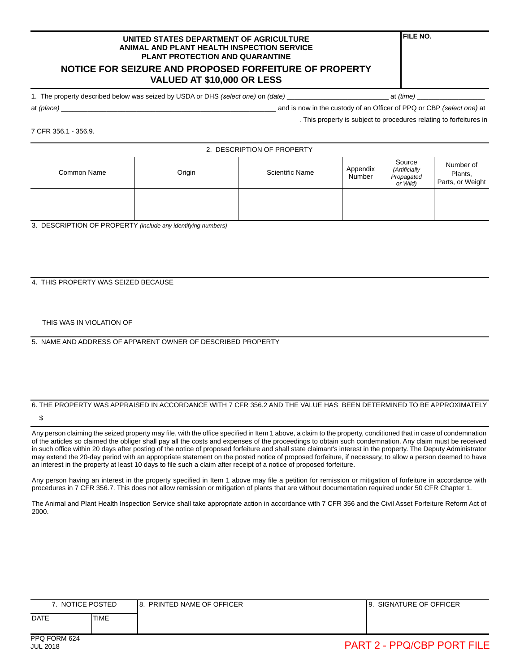## **NOTICE FOR SEIZURE AND PROPOSED FORFEITURE OF PROPERTY VALUED AT \$10,000 OR LESS**

1. The property described below was seized by USDA or DHS *(select one)* on *(date)* \_\_\_\_\_\_\_\_\_\_\_\_\_\_\_\_\_\_\_\_\_\_\_\_\_\_\_ at *(time)* \_\_\_\_\_\_\_\_\_\_\_\_\_\_\_\_\_\_

**FILE NO.**

at *(place)* and is now in the custody of an Officer of PPQ or CBP *(select one)* at

\_\_\_\_\_\_\_\_\_\_\_\_\_\_\_\_\_\_\_\_\_\_\_\_\_\_\_\_\_\_\_\_\_\_\_\_\_\_\_\_\_\_\_\_\_\_\_\_\_\_\_\_\_\_\_\_\_\_\_\_\_\_\_\_\_\_\_\_\_\_\_. This property is subject to procedures relating to forfeitures in

7 CFR 356.1 - 356.9.

2. DESCRIPTION OF PROPERTY

| Common Name | Origin | Source<br>Appendix<br>(Artificially<br><b>Scientific Name</b><br>Number<br>Propagated<br>or Wild) |  | Number of<br>Plants,<br>Parts, or Weight |  |
|-------------|--------|---------------------------------------------------------------------------------------------------|--|------------------------------------------|--|
|             |        |                                                                                                   |  |                                          |  |

3. DESCRIPTION OF PROPERTY *(include any identifying numbers)*

4. THIS PROPERTY WAS SEIZED BECAUSE

THIS WAS IN VIOLATION OF

5. NAME AND ADDRESS OF APPARENT OWNER OF DESCRIBED PROPERTY

# 6. THE PROPERTY WAS APPRAISED IN ACCORDANCE WITH 7 CFR 356.2 AND THE VALUE HAS BEEN DETERMINED TO BE APPROXIMATELY

\$

Any person claiming the seized property may file, with the office specified in Item 1 above, a claim to the property, conditioned that in case of condemnation of the articles so claimed the obliger shall pay all the costs and expenses of the proceedings to obtain such condemnation. Any claim must be received in such office within 20 days after posting of the notice of proposed forfeiture and shall state claimant's interest in the property. The Deputy Administrator may extend the 20-day period with an appropriate statement on the posted notice of proposed forfeiture, if necessary, to allow a person deemed to have an interest in the property at least 10 days to file such a claim after receipt of a notice of proposed forfeiture.

Any person having an interest in the property specified in Item 1 above may file a petition for remission or mitigation of forfeiture in accordance with procedures in 7 CFR 356.7. This does not allow remission or mitigation of plants that are without documentation required under 50 CFR Chapter 1.

| NOTICE POSTED |      | PRINTED NAME OF OFFICER<br>18. | SIGNATURE OF OFFICER<br>19. |
|---------------|------|--------------------------------|-----------------------------|
| <b>DATE</b>   | TIME |                                |                             |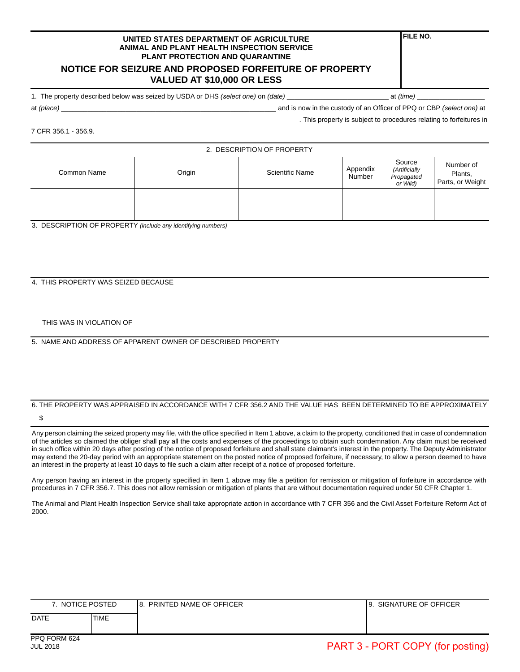## **NOTICE FOR SEIZURE AND PROPOSED FORFEITURE OF PROPERTY VALUED AT \$10,000 OR LESS**

1. The property described below was seized by USDA or DHS *(select one)* on *(date)* \_\_\_\_\_\_\_\_\_\_\_\_\_\_\_\_\_\_\_\_\_\_\_\_\_\_\_ at *(time)* \_\_\_\_\_\_\_\_\_\_\_\_\_\_\_\_\_\_

**FILE NO.**

at *(place)* and is now in the custody of an Officer of PPQ or CBP *(select one)* at

\_\_\_\_\_\_\_\_\_\_\_\_\_\_\_\_\_\_\_\_\_\_\_\_\_\_\_\_\_\_\_\_\_\_\_\_\_\_\_\_\_\_\_\_\_\_\_\_\_\_\_\_\_\_\_\_\_\_\_\_\_\_\_\_\_\_\_\_\_\_\_. This property is subject to procedures relating to forfeitures in

7 CFR 356.1 - 356.9.

2. DESCRIPTION OF PROPERTY

| Common Name | Origin | Scientific Name | Source<br>Appendix<br>(Artificially<br>Number<br>Propagated<br>or Wild) |  | Number of<br>Plants,<br>Parts, or Weight |  |
|-------------|--------|-----------------|-------------------------------------------------------------------------|--|------------------------------------------|--|
|             |        |                 |                                                                         |  |                                          |  |

3. DESCRIPTION OF PROPERTY *(include any identifying numbers)*

4. THIS PROPERTY WAS SEIZED BECAUSE

THIS WAS IN VIOLATION OF

5. NAME AND ADDRESS OF APPARENT OWNER OF DESCRIBED PROPERTY

# 6. THE PROPERTY WAS APPRAISED IN ACCORDANCE WITH 7 CFR 356.2 AND THE VALUE HAS BEEN DETERMINED TO BE APPROXIMATELY

\$

Any person claiming the seized property may file, with the office specified in Item 1 above, a claim to the property, conditioned that in case of condemnation of the articles so claimed the obliger shall pay all the costs and expenses of the proceedings to obtain such condemnation. Any claim must be received in such office within 20 days after posting of the notice of proposed forfeiture and shall state claimant's interest in the property. The Deputy Administrator may extend the 20-day period with an appropriate statement on the posted notice of proposed forfeiture, if necessary, to allow a person deemed to have an interest in the property at least 10 days to file such a claim after receipt of a notice of proposed forfeiture.

Any person having an interest in the property specified in Item 1 above may file a petition for remission or mitigation of forfeiture in accordance with procedures in 7 CFR 356.7. This does not allow remission or mitigation of plants that are without documentation required under 50 CFR Chapter 1.

| NOTICE POSTED |      | PRINTED NAME OF OFFICER<br>۱8 | SIGNATURE OF OFFICER<br>9. |
|---------------|------|-------------------------------|----------------------------|
| <b>DATE</b>   | TIME |                               |                            |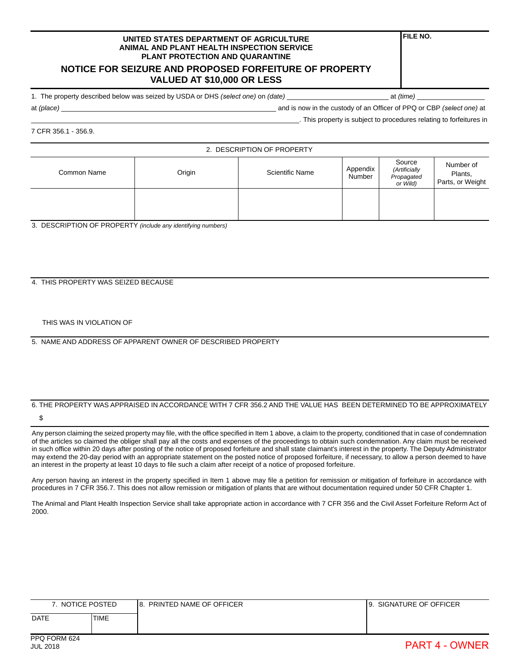## **NOTICE FOR SEIZURE AND PROPOSED FORFEITURE OF PROPERTY VALUED AT \$10,000 OR LESS**

1. The property described below was seized by USDA or DHS *(select one)* on *(date)* \_\_\_\_\_\_\_\_\_\_\_\_\_\_\_\_\_\_\_\_\_\_\_\_\_\_\_ at *(time)* \_\_\_\_\_\_\_\_\_\_\_\_\_\_\_\_\_\_

**FILE NO.**

at *(place)* and is now in the custody of an Officer of PPQ or CBP *(select one)* at

\_\_\_\_\_\_\_\_\_\_\_\_\_\_\_\_\_\_\_\_\_\_\_\_\_\_\_\_\_\_\_\_\_\_\_\_\_\_\_\_\_\_\_\_\_\_\_\_\_\_\_\_\_\_\_\_\_\_\_\_\_\_\_\_\_\_\_\_\_\_\_. This property is subject to procedures relating to forfeitures in

7 CFR 356.1 - 356.9.

2. DESCRIPTION OF PROPERTY

| Common Name | Origin | <b>Scientific Name</b> | Source<br>Appendix<br>(Artificially<br>Number<br>Propagated<br>or Wild) |  | Number of<br>Plants,<br>Parts, or Weight |  |
|-------------|--------|------------------------|-------------------------------------------------------------------------|--|------------------------------------------|--|
|             |        |                        |                                                                         |  |                                          |  |

3. DESCRIPTION OF PROPERTY *(include any identifying numbers)*

4. THIS PROPERTY WAS SEIZED BECAUSE

THIS WAS IN VIOLATION OF

5. NAME AND ADDRESS OF APPARENT OWNER OF DESCRIBED PROPERTY

## 6. THE PROPERTY WAS APPRAISED IN ACCORDANCE WITH 7 CFR 356.2 AND THE VALUE HAS BEEN DETERMINED TO BE APPROXIMATELY

\$

Any person claiming the seized property may file, with the office specified in Item 1 above, a claim to the property, conditioned that in case of condemnation of the articles so claimed the obliger shall pay all the costs and expenses of the proceedings to obtain such condemnation. Any claim must be received in such office within 20 days after posting of the notice of proposed forfeiture and shall state claimant's interest in the property. The Deputy Administrator may extend the 20-day period with an appropriate statement on the posted notice of proposed forfeiture, if necessary, to allow a person deemed to have an interest in the property at least 10 days to file such a claim after receipt of a notice of proposed forfeiture.

Any person having an interest in the property specified in Item 1 above may file a petition for remission or mitigation of forfeiture in accordance with procedures in 7 CFR 356.7. This does not allow remission or mitigation of plants that are without documentation required under 50 CFR Chapter 1.

| NOTICE POSTED |             | PRINTED NAME OF OFFICER<br><b>8.</b> | SIGNATURE OF OFFICER<br>19. |
|---------------|-------------|--------------------------------------|-----------------------------|
| <b>DATE</b>   | <b>TIME</b> |                                      |                             |